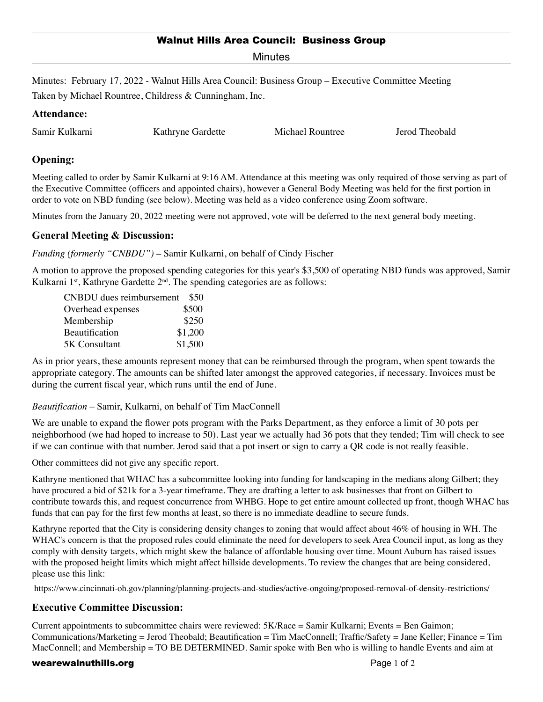# Walnut Hills Area Council: Business Group

**Minutes** 

Minutes: February 17, 2022 - Walnut Hills Area Council: Business Group – Executive Committee Meeting Taken by Michael Rountree, Childress & Cunningham, Inc.

# **Attendance:**

| Samir Kulkarni<br>Michael Rountree<br>Kathryne Gardette | Jerod Theobald |
|---------------------------------------------------------|----------------|
|---------------------------------------------------------|----------------|

# **Opening:**

Meeting called to order by Samir Kulkarni at 9:16 AM. Attendance at this meeting was only required of those serving as part of the Executive Committee (officers and appointed chairs), however a General Body Meeting was held for the first portion in order to vote on NBD funding (see below). Meeting was held as a video conference using Zoom software.

Minutes from the January 20, 2022 meeting were not approved, vote will be deferred to the next general body meeting.

# **General Meeting & Discussion:**

*Funding (formerly "CNBDU")* – Samir Kulkarni, on behalf of Cindy Fischer

A motion to approve the proposed spending categories for this year's \$3,500 of operating NBD funds was approved, Samir Kulkarni 1<sup>st</sup>, Kathryne Gardette 2<sup>nd</sup>. The spending categories are as follows:

| CNBDU dues reimbursement | \$50    |
|--------------------------|---------|
| Overhead expenses        | \$500   |
| Membership               | \$250   |
| <b>Beautification</b>    | \$1,200 |
| 5K Consultant            | \$1,500 |

As in prior years, these amounts represent money that can be reimbursed through the program, when spent towards the appropriate category. The amounts can be shifted later amongst the approved categories, if necessary. Invoices must be during the current fiscal year, which runs until the end of June.

#### *Beautification* – Samir, Kulkarni, on behalf of Tim MacConnell

We are unable to expand the flower pots program with the Parks Department, as they enforce a limit of 30 pots per neighborhood (we had hoped to increase to 50). Last year we actually had 36 pots that they tended; Tim will check to see if we can continue with that number. Jerod said that a pot insert or sign to carry a QR code is not really feasible.

Other committees did not give any specific report.

Kathryne mentioned that WHAC has a subcommittee looking into funding for landscaping in the medians along Gilbert; they have procured a bid of \$21k for a 3-year timeframe. They are drafting a letter to ask businesses that front on Gilbert to contribute towards this, and request concurrence from WHBG. Hope to get entire amount collected up front, though WHAC has funds that can pay for the first few months at least, so there is no immediate deadline to secure funds.

Kathryne reported that the City is considering density changes to zoning that would affect about 46% of housing in WH. The WHAC's concern is that the proposed rules could eliminate the need for developers to seek Area Council input, as long as they comply with density targets, which might skew the balance of affordable housing over time. Mount Auburn has raised issues with the proposed height limits which might affect hillside developments. To review the changes that are being considered, please use this link:

https://www.cincinnati-oh.gov/planning/planning-projects-and-studies/active-ongoing/proposed-removal-of-density-restrictions/

# **Executive Committee Discussion:**

Current appointments to subcommittee chairs were reviewed: 5K/Race = Samir Kulkarni; Events = Ben Gaimon; Communications/Marketing = Jerod Theobald; Beautification = Tim MacConnell; Traffic/Safety = Jane Keller; Finance = Tim MacConnell; and Membership = TO BE DETERMINED. Samir spoke with Ben who is willing to handle Events and aim at

#### wearewalnuthills.org **Page 1 of 2** and 2 and 2 and 2 and 2 and 2 and 2 and 2 and 2 and 2 and 2 and 2 and 2 and 2 and 2 and 2 and 2 and 2 and 2 and 2 and 2 and 2 and 2 and 2 and 2 and 2 and 2 and 2 and 2 and 2 and 2 and 2 a